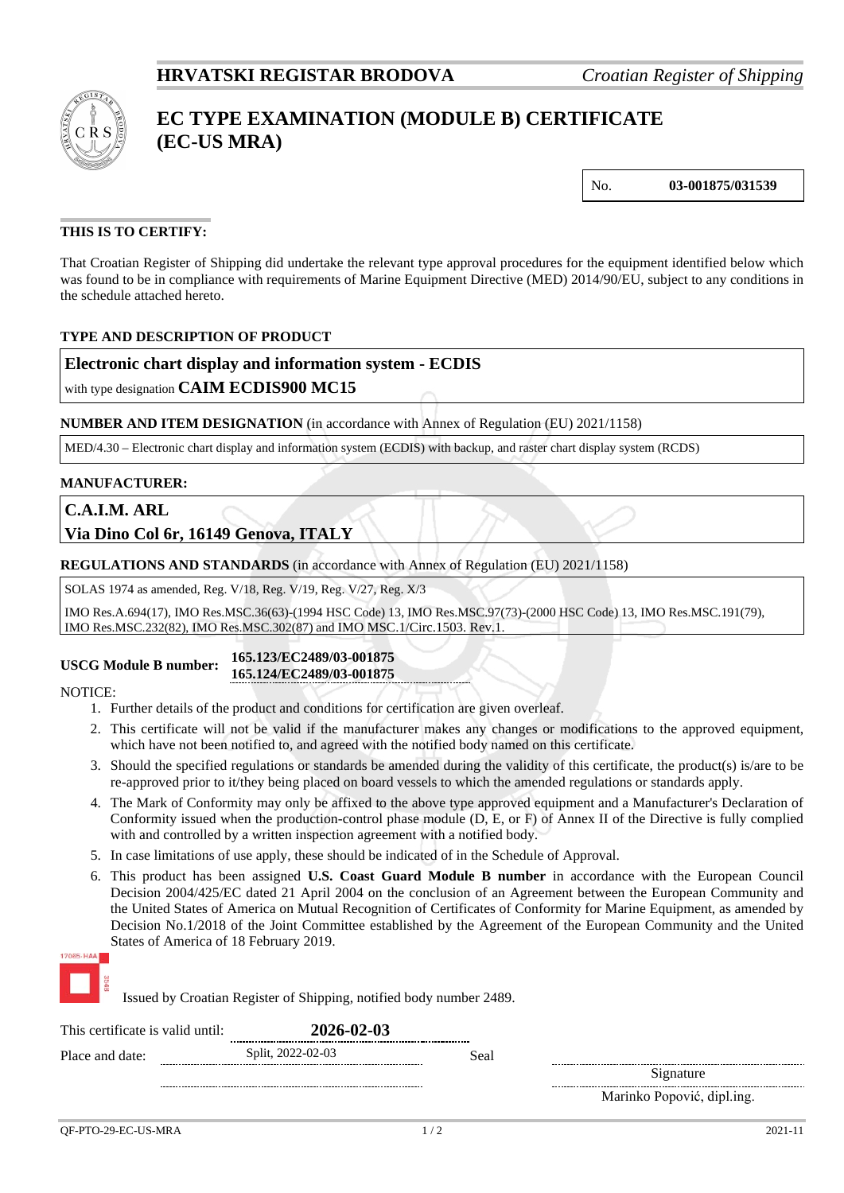

# **EC TYPE EXAMINATION (MODULE B) CERTIFICATE (EC-US MRA)**

No. **03-001875/031539**

### **THIS IS TO CERTIFY:**

That Croatian Register of Shipping did undertake the relevant type approval procedures for the equipment identified below which was found to be in compliance with requirements of Marine Equipment Directive (MED) 2014/90/EU, subject to any conditions in the schedule attached hereto.

#### **TYPE AND DESCRIPTION OF PRODUCT**

#### **Electronic chart display and information system - ECDIS**

with type designation **CAIM ECDIS900 MC15**

**NUMBER AND ITEM DESIGNATION** (in accordance with Annex of Regulation (EU) 2021/1158)

MED/4.30 – Electronic chart display and information system (ECDIS) with backup, and raster chart display system (RCDS)

#### **MANUFACTURER:**

**C.A.I.M. ARL**

**Via Dino Col 6r, 16149 Genova, ITALY**

**REGULATIONS AND STANDARDS** (in accordance with Annex of Regulation (EU) 2021/1158)

SOLAS 1974 as amended, Reg. V/18, Reg. V/19, Reg. V/27, Reg. X/3

IMO Res.A.694(17), IMO Res.MSC.36(63)-(1994 HSC Code) 13, IMO Res.MSC.97(73)-(2000 HSC Code) 13, IMO Res.MSC.191(79), IMO Res.MSC.232(82), IMO Res.MSC.302(87) and IMO MSC.1/Circ.1503. Rev.1.

**USCG Module B number: 165.123/EC2489/03-001875 165.124/EC2489/03-001875**

NOTICE:

- 1. Further details of the product and conditions for certification are given overleaf.
- 2. This certificate will not be valid if the manufacturer makes any changes or modifications to the approved equipment, which have not been notified to, and agreed with the notified body named on this certificate.
- 3. Should the specified regulations or standards be amended during the validity of this certificate, the product(s) is/are to be re-approved prior to it/they being placed on board vessels to which the amended regulations or standards apply.
- 4. The Mark of Conformity may only be affixed to the above type approved equipment and a Manufacturer's Declaration of Conformity issued when the production-control phase module (D, E, or F) of Annex II of the Directive is fully complied with and controlled by a written inspection agreement with a notified body.
- 5. In case limitations of use apply, these should be indicated of in the Schedule of Approval.
- 6. This product has been assigned **U.S. Coast Guard Module B number** in accordance with the European Council Decision 2004/425/EC dated 21 April 2004 on the conclusion of an Agreement between the European Community and the United States of America on Mutual Recognition of Certificates of Conformity for Marine Equipment, as amended by Decision No.1/2018 of the Joint Committee established by the Agreement of the European Community and the United States of America of 18 February 2019.



Issued by Croatian Register of Shipping, notified body number 2489.

| This certificate is valid until: |  | 2026-02-03<br>--------------------------- |      |                            |
|----------------------------------|--|-------------------------------------------|------|----------------------------|
| Place and date:                  |  | Split, 2022-02-03                         | Seal |                            |
|                                  |  |                                           |      | Signature                  |
|                                  |  |                                           |      | Marinko Popović, dipl.ing. |
|                                  |  |                                           |      |                            |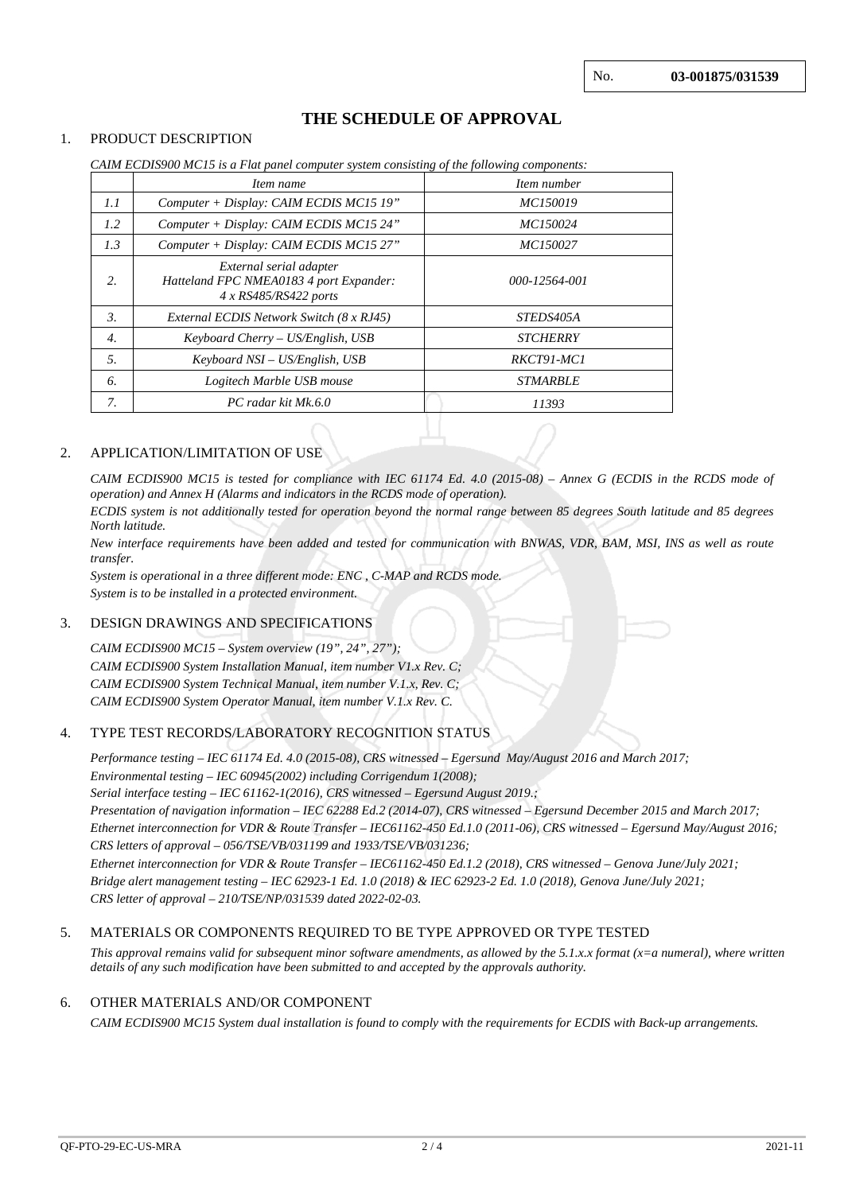## **THE SCHEDULE OF APPROVAL**

#### 1. PRODUCT DESCRIPTION

|                  | Item name                                                                                     | Item number      |
|------------------|-----------------------------------------------------------------------------------------------|------------------|
| 1.1              | Computer + Display: CAIM ECDIS MC15 19"                                                       | MC150019         |
| 1.2              | Computer + Display: CAIM ECDIS MC15 24"                                                       | MC150024         |
| 1.3              | Computer + Display: CAIM ECDIS MC15 27"                                                       | MC150027         |
| 2.               | External serial adapter<br>Hatteland FPC NMEA0183 4 port Expander:<br>$4 x$ RS485/RS422 ports | 000-12564-001    |
| 3.               | External ECDIS Network Switch (8 x RJ45)                                                      | <i>STEDS405A</i> |
| $\overline{4}$ . | $Keyboard$ Cherry – US/English, USB                                                           | <b>STCHERRY</b>  |
| 5.               | Keyboard NSI – US/English, USB                                                                | RKCT91-MC1       |
| 6.               | Logitech Marble USB mouse                                                                     | <b>STMARBLE</b>  |
| 7.               | PC radar kit Mk.6.0                                                                           | 11393            |

*CAIM ECDIS900 MC15 is a Flat panel computer system consisting of the following components:*

#### 2. APPLICATION/LIMITATION OF USE

*CAIM ECDIS900 MC15 is tested for compliance with IEC 61174 Ed. 4.0 (2015-08) – Annex G (ECDIS in the RCDS mode of operation) and Annex H (Alarms and indicators in the RCDS mode of operation).*

*ECDIS system is not additionally tested for operation beyond the normal range between 85 degrees South latitude and 85 degrees North latitude.* 

*New interface requirements have been added and tested for communication with BNWAS, VDR, BAM, MSI, INS as well as route transfer.*

*System is operational in a three different mode: ENC , C-MAP and RCDS mode. System is to be installed in a protected environment.*

#### 3. DESIGN DRAWINGS AND SPECIFICATIONS

*CAIM ECDIS900 MC15 – System overview (19", 24", 27"); CAIM ECDIS900 System Installation Manual, item number V1.x Rev. C; CAIM ECDIS900 System Technical Manual, item number V.1.x, Rev. C; CAIM ECDIS900 System Operator Manual, item number V.1.x Rev. C.*

#### 4. TYPE TEST RECORDS/LABORATORY RECOGNITION STATUS

*Performance testing – IEC 61174 Ed. 4.0 (2015-08), CRS witnessed – Egersund May/August 2016 and March 2017; Environmental testing – IEC 60945(2002) including Corrigendum 1(2008);*

*Serial interface testing – IEC 61162-1(2016), CRS witnessed – Egersund August 2019.; Presentation of navigation information – IEC 62288 Ed.2 (2014-07), CRS witnessed – Egersund December 2015 and March 2017; Ethernet interconnection for VDR & Route Transfer – IEC61162-450 Ed.1.0 (2011-06), CRS witnessed – Egersund May/August 2016; CRS letters of approval – 056/TSE/VB/031199 and 1933/TSE/VB/031236;*

*Ethernet interconnection for VDR & Route Transfer – IEC61162-450 Ed.1.2 (2018), CRS witnessed – Genova June/July 2021; Bridge alert management testing – IEC 62923-1 Ed. 1.0 (2018) & IEC 62923-2 Ed. 1.0 (2018), Genova June/July 2021; CRS letter of approval – 210/TSE/NP/031539 dated 2022-02-03.*

#### 5. MATERIALS OR COMPONENTS REQUIRED TO BE TYPE APPROVED OR TYPE TESTED

*This approval remains valid for subsequent minor software amendments, as allowed by the 5.1.x.x format (x=a numeral), where written details of any such modification have been submitted to and accepted by the approvals authority.*

#### 6. OTHER MATERIALS AND/OR COMPONENT

*CAIM ECDIS900 MC15 System dual installation is found to comply with the requirements for ECDIS with Back-up arrangements.*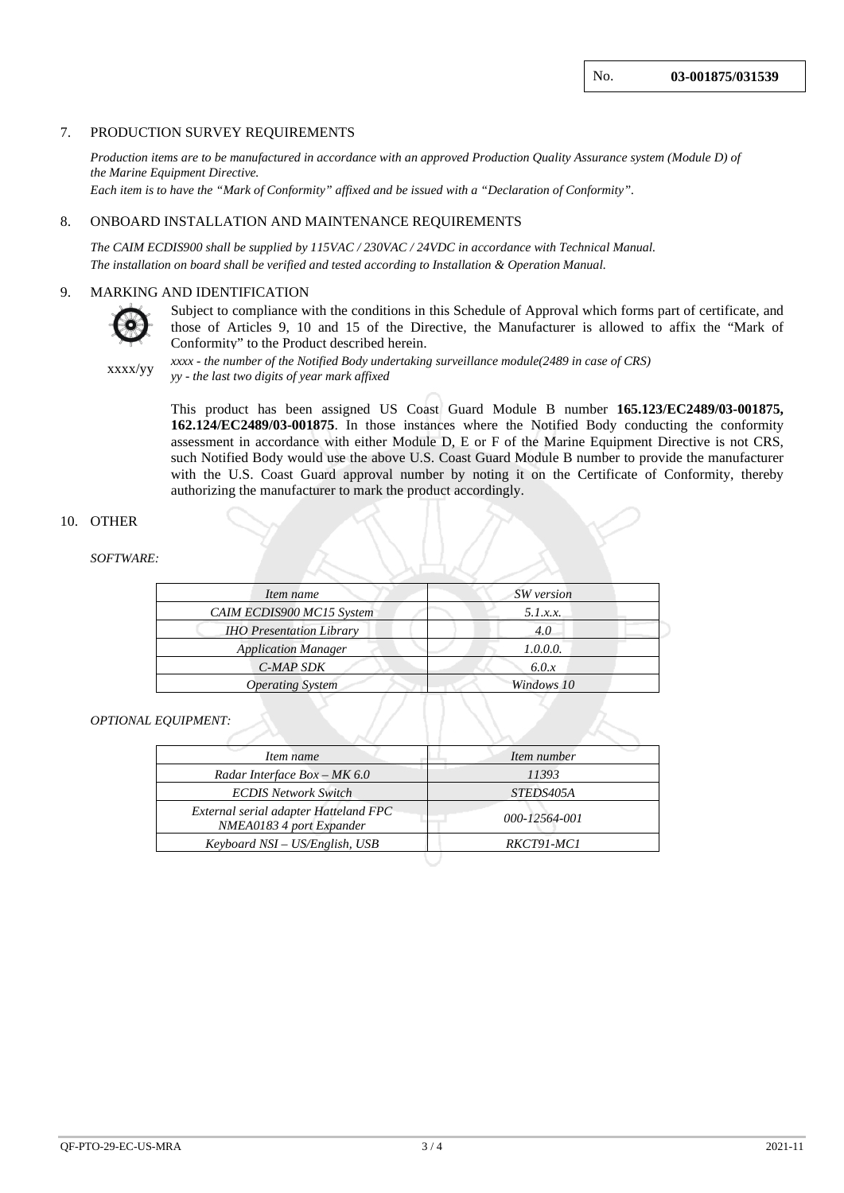#### 7. PRODUCTION SURVEY REQUIREMENTS

*Production items are to be manufactured in accordance with an approved Production Quality Assurance system (Module D) of the Marine Equipment Directive. Each item is to have the "Mark of Conformity" affixed and be issued with a "Declaration of Conformity".*

8. ONBOARD INSTALLATION AND MAINTENANCE REQUIREMENTS

*The CAIM ECDIS900 shall be supplied by 115VAC / 230VAC / 24VDC in accordance with Technical Manual. The installation on board shall be verified and tested according to Installation & Operation Manual.*

#### 9. MARKING AND IDENTIFICATION



Subject to compliance with the conditions in this Schedule of Approval which forms part of certificate, and those of Articles 9, 10 and 15 of the Directive, the Manufacturer is allowed to affix the "Mark of Conformity" to the Product described herein.

xxxx/yy *xxxx - the number of the Notified Body undertaking surveillance module(2489 in case of CRS) yy - the last two digits of year mark affixed*

> This product has been assigned US Coast Guard Module B number **165.123/EC2489/03-001875, 162.124/EC2489/03-001875**. In those instances where the Notified Body conducting the conformity assessment in accordance with either Module D, E or F of the Marine Equipment Directive is not CRS, such Notified Body would use the above U.S. Coast Guard Module B number to provide the manufacturer with the U.S. Coast Guard approval number by noting it on the Certificate of Conformity, thereby authorizing the manufacturer to mark the product accordingly.

#### 10. OTHER

#### *SOFTWARE:*

| Item name                       | SW version |  |  |
|---------------------------------|------------|--|--|
| CAIM ECDIS900 MC15 System       | 5.1.x.x.   |  |  |
| <b>IHO Presentation Library</b> | 4.0        |  |  |
| <b>Application Manager</b>      | 1.0.0.0.   |  |  |
| C-MAP SDK                       | 6.0.x      |  |  |
| <b>Operating System</b>         | Windows 10 |  |  |

#### *OPTIONAL EQUIPMENT:*

| Item name                                                         | Item number   |  |
|-------------------------------------------------------------------|---------------|--|
| Radar Interface Box - MK 6.0                                      | 11393         |  |
| <b>ECDIS Network Switch</b>                                       | STEDS405A     |  |
| External serial adapter Hatteland FPC<br>NMEA0183 4 port Expander | 000-12564-001 |  |
| Keyboard NSI – US/English, USB                                    | RKCT91-MC1    |  |
|                                                                   |               |  |